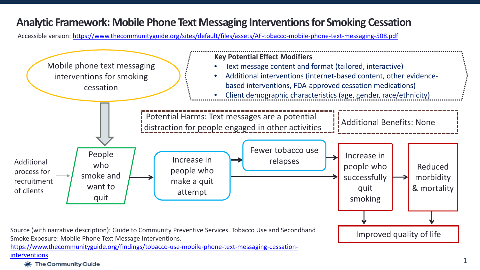## **Analytic Framework: Mobile Phone Text Messaging Interventions for Smoking Cessation**

Accessible version:<https://www.thecommunityguide.org/sites/default/files/assets/AF-tobacco-mobile-phone-text-messaging-508.pdf>



[https://www.thecommunityguide.org/findings/tobacco-use-mobile-phone-text-messaging-cessation](https://www.thecommunityguide.org/findings/tobacco-use-mobile-phone-text-messaging-cessation-interventions)interventions